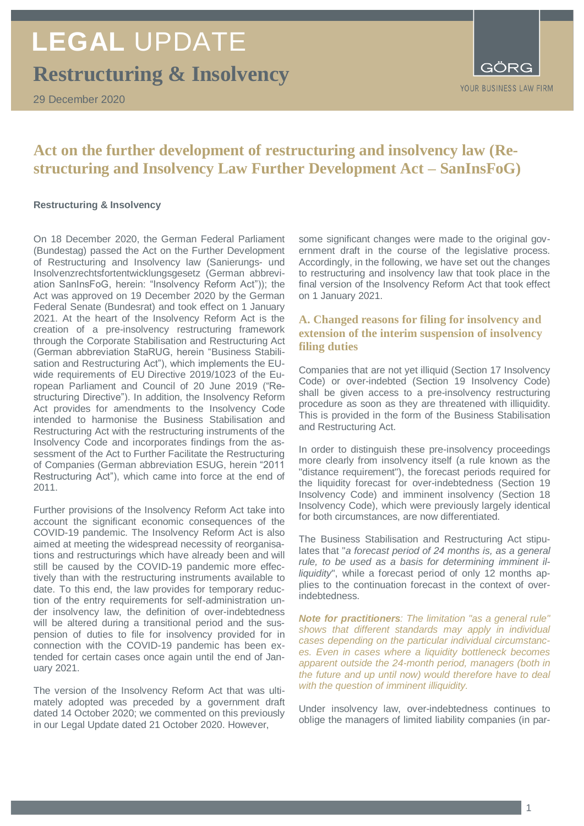**Restructuring & Insolvency**

29 December 2020



### **Act on the further development of restructuring and insolvency law (Restructuring and Insolvency Law Further Development Act – SanInsFoG)**

#### **Restructuring & Insolvency**

On 18 December 2020, the German Federal Parliament (Bundestag) passed the Act on the Further Development of Restructuring and Insolvency law (Sanierungs- und Insolvenzrechtsfortentwicklungsgesetz (German abbreviation SanInsFoG, herein: "Insolvency Reform Act")); the Act was approved on 19 December 2020 by the German Federal Senate (Bundesrat) and took effect on 1 January 2021. At the heart of the Insolvency Reform Act is the creation of a pre-insolvency restructuring framework through the Corporate Stabilisation and Restructuring Act (German abbreviation StaRUG, herein "Business Stabilisation and Restructuring Act"), which implements the EUwide requirements of EU Directive 2019/1023 of the European Parliament and Council of 20 June 2019 ("Restructuring Directive"). In addition, the Insolvency Reform Act provides for amendments to the Insolvency Code intended to harmonise the Business Stabilisation and Restructuring Act with the restructuring instruments of the Insolvency Code and incorporates findings from the assessment of the Act to Further Facilitate the Restructuring of Companies (German abbreviation ESUG, herein "2011 Restructuring Act"), which came into force at the end of 2011.

Further provisions of the Insolvency Reform Act take into account the significant economic consequences of the COVID-19 pandemic. The Insolvency Reform Act is also aimed at meeting the widespread necessity of reorganisations and restructurings which have already been and will still be caused by the COVID-19 pandemic more effectively than with the restructuring instruments available to date. To this end, the law provides for temporary reduction of the entry requirements for self-administration under insolvency law, the definition of over-indebtedness will be altered during a transitional period and the suspension of duties to file for insolvency provided for in connection with the COVID-19 pandemic has been extended for certain cases once again until the end of January 2021.

The version of the Insolvency Reform Act that was ultimately adopted was preceded by a government draft dated 14 October 2020; we commented on this previously in our Legal Update dated 21 October 2020. However,

some significant changes were made to the original government draft in the course of the legislative process. Accordingly, in the following, we have set out the changes to restructuring and insolvency law that took place in the final version of the Insolvency Reform Act that took effect on 1 January 2021.

### **A. Changed reasons for filing for insolvency and extension of the interim suspension of insolvency filing duties**

Companies that are not yet illiquid (Section 17 Insolvency Code) or over-indebted (Section 19 Insolvency Code) shall be given access to a pre-insolvency restructuring procedure as soon as they are threatened with illiquidity. This is provided in the form of the Business Stabilisation and Restructuring Act.

In order to distinguish these pre-insolvency proceedings more clearly from insolvency itself (a rule known as the "distance requirement"), the forecast periods required for the liquidity forecast for over-indebtedness (Section 19 Insolvency Code) and imminent insolvency (Section 18 Insolvency Code), which were previously largely identical for both circumstances, are now differentiated.

The Business Stabilisation and Restructuring Act stipulates that "*a forecast period of 24 months is, as a general rule, to be used as a basis for determining imminent illiquidity*", while a forecast period of only 12 months applies to the continuation forecast in the context of overindebtedness.

*Note for practitioners: The limitation "as a general rule" shows that different standards may apply in individual cases depending on the particular individual circumstances. Even in cases where a liquidity bottleneck becomes apparent outside the 24-month period, managers (both in the future and up until now) would therefore have to deal with the question of imminent illiquidity.*

Under insolvency law, over-indebtedness continues to oblige the managers of limited liability companies (in par-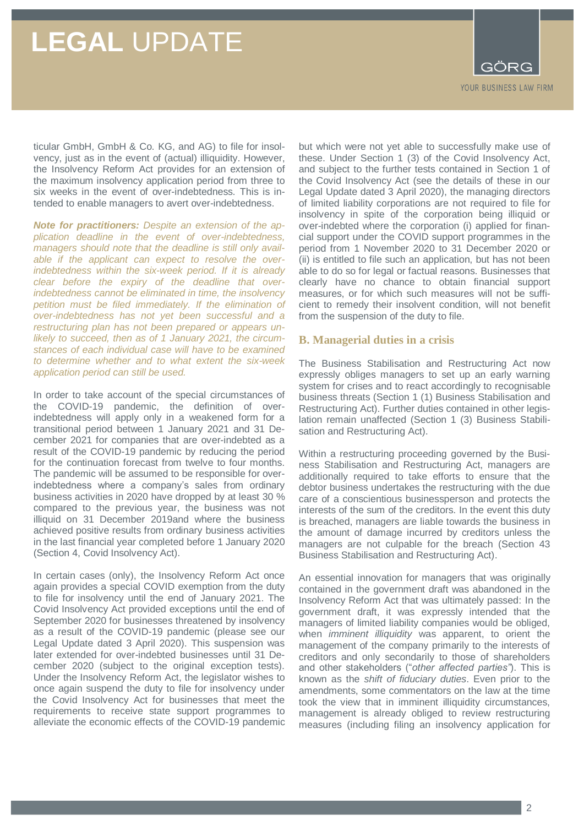GORG YOUR BUSINESS LAW FIRM

ticular GmbH, GmbH & Co. KG, and AG) to file for insolvency, just as in the event of (actual) illiquidity. However, the Insolvency Reform Act provides for an extension of the maximum insolvency application period from three to six weeks in the event of over-indebtedness. This is intended to enable managers to avert over-indebtedness.

*Note for practitioners: Despite an extension of the application deadline in the event of over-indebtedness, managers should note that the deadline is still only available if the applicant can expect to resolve the overindebtedness within the six-week period. If it is already clear before the expiry of the deadline that overindebtedness cannot be eliminated in time, the insolvency petition must be filed immediately. If the elimination of over-indebtedness has not yet been successful and a restructuring plan has not been prepared or appears unlikely to succeed, then as of 1 January 2021, the circumstances of each individual case will have to be examined to determine whether and to what extent the six-week application period can still be used.*

In order to take account of the special circumstances of the COVID-19 pandemic, the definition of overindebtedness will apply only in a weakened form for a transitional period between 1 January 2021 and 31 December 2021 for companies that are over-indebted as a result of the COVID-19 pandemic by reducing the period for the continuation forecast from twelve to four months. The pandemic will be assumed to be responsible for overindebtedness where a company's sales from ordinary business activities in 2020 have dropped by at least 30 % compared to the previous year, the business was not illiquid on 31 December 2019and where the business achieved positive results from ordinary business activities in the last financial year completed before 1 January 2020 (Section 4, Covid Insolvency Act).

In certain cases (only), the Insolvency Reform Act once again provides a special COVID exemption from the duty to file for insolvency until the end of January 2021. The Covid Insolvency Act provided exceptions until the end of September 2020 for businesses threatened by insolvency as a result of the COVID-19 pandemic (please see our Legal Update dated 3 April 2020). This suspension was later extended for over-indebted businesses until 31 December 2020 (subject to the original exception tests). Under the Insolvency Reform Act, the legislator wishes to once again suspend the duty to file for insolvency under the Covid Insolvency Act for businesses that meet the requirements to receive state support programmes to alleviate the economic effects of the COVID-19 pandemic

but which were not yet able to successfully make use of these. Under Section 1 (3) of the Covid Insolvency Act, and subject to the further tests contained in Section 1 of the Covid Insolvency Act (see the details of these in our Legal Update dated 3 April 2020), the managing directors of limited liability corporations are not required to file for insolvency in spite of the corporation being illiquid or over-indebted where the corporation (i) applied for financial support under the COVID support programmes in the period from 1 November 2020 to 31 December 2020 or (ii) is entitled to file such an application, but has not been able to do so for legal or factual reasons. Businesses that clearly have no chance to obtain financial support measures, or for which such measures will not be sufficient to remedy their insolvent condition, will not benefit from the suspension of the duty to file.

#### **B. Managerial duties in a crisis**

The Business Stabilisation and Restructuring Act now expressly obliges managers to set up an early warning system for crises and to react accordingly to recognisable business threats (Section 1 (1) Business Stabilisation and Restructuring Act). Further duties contained in other legislation remain unaffected (Section 1 (3) Business Stabilisation and Restructuring Act).

Within a restructuring proceeding governed by the Business Stabilisation and Restructuring Act, managers are additionally required to take efforts to ensure that the debtor business undertakes the restructuring with the due care of a conscientious businessperson and protects the interests of the sum of the creditors. In the event this duty is breached, managers are liable towards the business in the amount of damage incurred by creditors unless the managers are not culpable for the breach (Section 43 Business Stabilisation and Restructuring Act).

An essential innovation for managers that was originally contained in the government draft was abandoned in the Insolvency Reform Act that was ultimately passed: In the government draft, it was expressly intended that the managers of limited liability companies would be obliged, when *imminent illiquidity* was apparent, to orient the management of the company primarily to the interests of creditors and only secondarily to those of shareholders and other stakeholders ("*other affected parties"*). This is known as the *shift of fiduciary duties*. Even prior to the amendments, some commentators on the law at the time took the view that in imminent illiquidity circumstances, management is already obliged to review restructuring measures (including filing an insolvency application for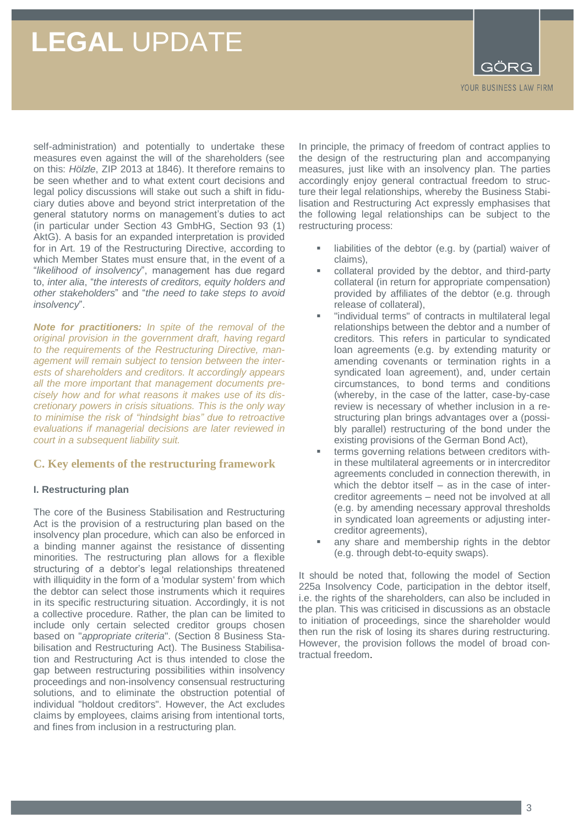GORG YOUR BUSINESS LAW FIRM

self-administration) and potentially to undertake these measures even against the will of the shareholders (see on this: *Hölzle*, ZIP 2013 at 1846). It therefore remains to be seen whether and to what extent court decisions and legal policy discussions will stake out such a shift in fiduciary duties above and beyond strict interpretation of the general statutory norms on management's duties to act (in particular under Section 43 GmbHG, Section 93 (1) AktG). A basis for an expanded interpretation is provided for in Art. 19 of the Restructuring Directive, according to which Member States must ensure that, in the event of a "*likelihood of insolvency*", management has due regard to, *inter alia*, "*the interests of creditors, equity holders and other stakeholders*" and "*the need to take steps to avoid insolvency*".

*Note for practitioners: In spite of the removal of the original provision in the government draft, having regard to the requirements of the Restructuring Directive, management will remain subject to tension between the interests of shareholders and creditors. It accordingly appears all the more important that management documents precisely how and for what reasons it makes use of its discretionary powers in crisis situations. This is the only way to minimise the risk of "hindsight bias" due to retroactive evaluations if managerial decisions are later reviewed in court in a subsequent liability suit.*

### **C. Key elements of the restructuring framework**

### **I. Restructuring plan**

The core of the Business Stabilisation and Restructuring Act is the provision of a restructuring plan based on the insolvency plan procedure, which can also be enforced in a binding manner against the resistance of dissenting minorities. The restructuring plan allows for a flexible structuring of a debtor's legal relationships threatened with illiquidity in the form of a 'modular system' from which the debtor can select those instruments which it requires in its specific restructuring situation. Accordingly, it is not a collective procedure. Rather, the plan can be limited to include only certain selected creditor groups chosen based on "*appropriate criteria*". (Section 8 Business Stabilisation and Restructuring Act). The Business Stabilisation and Restructuring Act is thus intended to close the gap between restructuring possibilities within insolvency proceedings and non-insolvency consensual restructuring solutions, and to eliminate the obstruction potential of individual "holdout creditors". However, the Act excludes claims by employees, claims arising from intentional torts, and fines from inclusion in a restructuring plan.

In principle, the primacy of freedom of contract applies to the design of the restructuring plan and accompanying measures, just like with an insolvency plan. The parties accordingly enjoy general contractual freedom to structure their legal relationships, whereby the Business Stabilisation and Restructuring Act expressly emphasises that the following legal relationships can be subject to the restructuring process:

- liabilities of the debtor (e.g. by (partial) waiver of claims),
- collateral provided by the debtor, and third-party collateral (in return for appropriate compensation) provided by affiliates of the debtor (e.g. through release of collateral),
- "individual terms" of contracts in multilateral legal relationships between the debtor and a number of creditors. This refers in particular to syndicated loan agreements (e.g. by extending maturity or amending covenants or termination rights in a syndicated loan agreement), and, under certain circumstances, to bond terms and conditions (whereby, in the case of the latter, case-by-case review is necessary of whether inclusion in a restructuring plan brings advantages over a (possibly parallel) restructuring of the bond under the existing provisions of the German Bond Act),
- terms governing relations between creditors within these multilateral agreements or in intercreditor agreements concluded in connection therewith, in which the debtor itself – as in the case of intercreditor agreements – need not be involved at all (e.g. by amending necessary approval thresholds in syndicated loan agreements or adjusting intercreditor agreements),
- any share and membership rights in the debtor (e.g. through debt-to-equity swaps).

It should be noted that, following the model of Section 225a Insolvency Code, participation in the debtor itself, i.e. the rights of the shareholders, can also be included in the plan. This was criticised in discussions as an obstacle to initiation of proceedings, since the shareholder would then run the risk of losing its shares during restructuring. However, the provision follows the model of broad contractual freedom.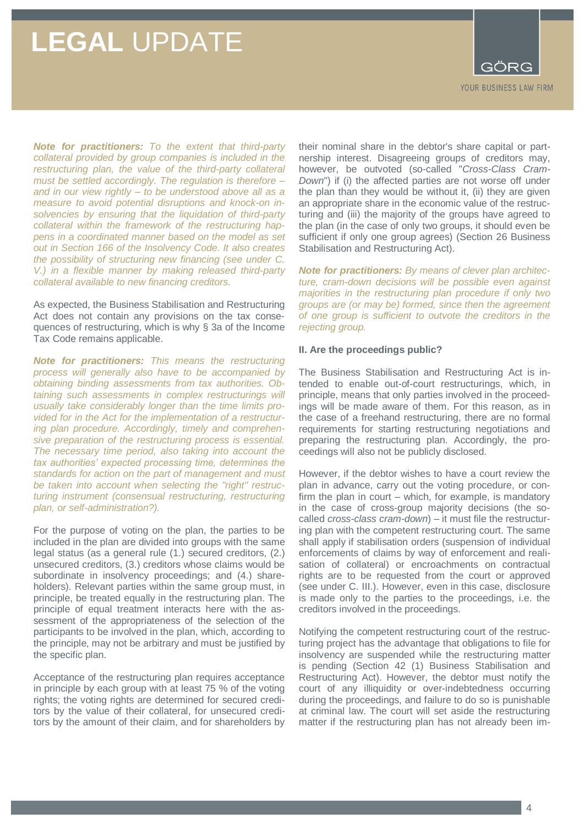

*Note for practitioners: To the extent that third-party collateral provided by group companies is included in the restructuring plan, the value of the third-party collateral must be settled accordingly. The regulation is therefore – and in our view rightly – to be understood above all as a measure to avoid potential disruptions and knock-on insolvencies by ensuring that the liquidation of third-party collateral within the framework of the restructuring happens in a coordinated manner based on the model as set out in Section 166 of the Insolvency Code. It also creates the possibility of structuring new financing (see under C. V.) in a flexible manner by making released third-party collateral available to new financing creditors.*

As expected, the Business Stabilisation and Restructuring Act does not contain any provisions on the tax consequences of restructuring, which is why § 3a of the Income Tax Code remains applicable.

*Note for practitioners: This means the restructuring process will generally also have to be accompanied by obtaining binding assessments from tax authorities. Obtaining such assessments in complex restructurings will usually take considerably longer than the time limits provided for in the Act for the implementation of a restructuring plan procedure. Accordingly, timely and comprehensive preparation of the restructuring process is essential. The necessary time period, also taking into account the tax authorities' expected processing time, determines the standards for action on the part of management and must be taken into account when selecting the "right" restructuring instrument (consensual restructuring, restructuring plan, or self-administration?).*

For the purpose of voting on the plan, the parties to be included in the plan are divided into groups with the same legal status (as a general rule (1.) secured creditors, (2.) unsecured creditors, (3.) creditors whose claims would be subordinate in insolvency proceedings; and (4.) shareholders). Relevant parties within the same group must, in principle, be treated equally in the restructuring plan. The principle of equal treatment interacts here with the assessment of the appropriateness of the selection of the participants to be involved in the plan, which, according to the principle, may not be arbitrary and must be justified by the specific plan.

Acceptance of the restructuring plan requires acceptance in principle by each group with at least 75 % of the voting rights; the voting rights are determined for secured creditors by the value of their collateral, for unsecured creditors by the amount of their claim, and for shareholders by their nominal share in the debtor's share capital or partnership interest. Disagreeing groups of creditors may, however, be outvoted (so-called "*Cross-Class Cram-Down*") if (i) the affected parties are not worse off under the plan than they would be without it, (ii) they are given an appropriate share in the economic value of the restructuring and (iii) the majority of the groups have agreed to the plan (in the case of only two groups, it should even be sufficient if only one group agrees) (Section 26 Business Stabilisation and Restructuring Act).

*Note for practitioners: By means of clever plan architecture, cram-down decisions will be possible even against majorities in the restructuring plan procedure if only two groups are (or may be) formed, since then the agreement of one group is sufficient to outvote the creditors in the rejecting group.*

#### **II. Are the proceedings public?**

The Business Stabilisation and Restructuring Act is intended to enable out-of-court restructurings, which, in principle, means that only parties involved in the proceedings will be made aware of them. For this reason, as in the case of a freehand restructuring, there are no formal requirements for starting restructuring negotiations and preparing the restructuring plan. Accordingly, the proceedings will also not be publicly disclosed.

However, if the debtor wishes to have a court review the plan in advance, carry out the voting procedure, or confirm the plan in court – which, for example, is mandatory in the case of cross-group majority decisions (the socalled *cross-class cram-down*) – it must file the restructuring plan with the competent restructuring court. The same shall apply if stabilisation orders (suspension of individual enforcements of claims by way of enforcement and realisation of collateral) or encroachments on contractual rights are to be requested from the court or approved (see under C. III.). However, even in this case, disclosure is made only to the parties to the proceedings, i.e. the creditors involved in the proceedings.

Notifying the competent restructuring court of the restructuring project has the advantage that obligations to file for insolvency are suspended while the restructuring matter is pending (Section 42 (1) Business Stabilisation and Restructuring Act). However, the debtor must notify the court of any illiquidity or over-indebtedness occurring during the proceedings, and failure to do so is punishable at criminal law. The court will set aside the restructuring matter if the restructuring plan has not already been im-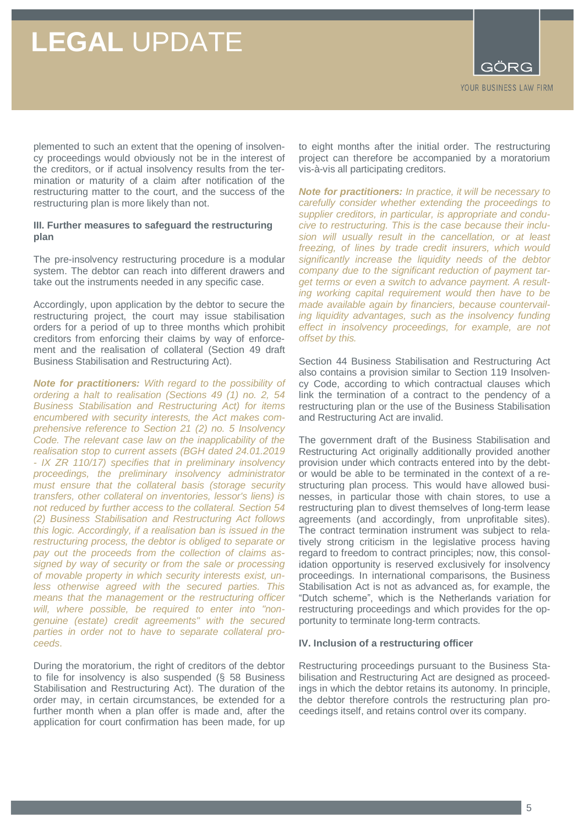plemented to such an extent that the opening of insolvency proceedings would obviously not be in the interest of the creditors, or if actual insolvency results from the termination or maturity of a claim after notification of the restructuring matter to the court, and the success of the restructuring plan is more likely than not.

### **III. Further measures to safeguard the restructuring plan**

The pre-insolvency restructuring procedure is a modular system. The debtor can reach into different drawers and take out the instruments needed in any specific case.

Accordingly, upon application by the debtor to secure the restructuring project, the court may issue stabilisation orders for a period of up to three months which prohibit creditors from enforcing their claims by way of enforcement and the realisation of collateral (Section 49 draft Business Stabilisation and Restructuring Act).

*Note for practitioners: With regard to the possibility of ordering a halt to realisation (Sections 49 (1) no. 2, 54 Business Stabilisation and Restructuring Act) for items encumbered with security interests, the Act makes comprehensive reference to Section 21 (2) no. 5 Insolvency Code. The relevant case law on the inapplicability of the realisation stop to current assets (BGH dated 24.01.2019 - IX ZR 110/17) specifies that in preliminary insolvency proceedings, the preliminary insolvency administrator must ensure that the collateral basis (storage security transfers, other collateral on inventories, lessor's liens) is not reduced by further access to the collateral. Section 54 (2) Business Stabilisation and Restructuring Act follows this logic. Accordingly, if a realisation ban is issued in the restructuring process, the debtor is obliged to separate or pay out the proceeds from the collection of claims assigned by way of security or from the sale or processing of movable property in which security interests exist, unless otherwise agreed with the secured parties. This means that the management or the restructuring officer will, where possible, be required to enter into "nongenuine (estate) credit agreements" with the secured parties in order not to have to separate collateral proceeds*.

During the moratorium, the right of creditors of the debtor to file for insolvency is also suspended (§ 58 Business Stabilisation and Restructuring Act). The duration of the order may, in certain circumstances, be extended for a further month when a plan offer is made and, after the application for court confirmation has been made, for up

to eight months after the initial order. The restructuring project can therefore be accompanied by a moratorium vis-à-vis all participating creditors.

*Note for practitioners: In practice, it will be necessary to carefully consider whether extending the proceedings to supplier creditors, in particular, is appropriate and conducive to restructuring. This is the case because their inclusion will usually result in the cancellation, or at least freezing, of lines by trade credit insurers, which would significantly increase the liquidity needs of the debtor company due to the significant reduction of payment target terms or even a switch to advance payment. A resulting working capital requirement would then have to be made available again by financiers, because countervailing liquidity advantages, such as the insolvency funding effect in insolvency proceedings, for example, are not offset by this.*

Section 44 Business Stabilisation and Restructuring Act also contains a provision similar to Section 119 Insolvency Code, according to which contractual clauses which link the termination of a contract to the pendency of a restructuring plan or the use of the Business Stabilisation and Restructuring Act are invalid.

The government draft of the Business Stabilisation and Restructuring Act originally additionally provided another provision under which contracts entered into by the debtor would be able to be terminated in the context of a restructuring plan process. This would have allowed businesses, in particular those with chain stores, to use a restructuring plan to divest themselves of long-term lease agreements (and accordingly, from unprofitable sites). The contract termination instrument was subject to relatively strong criticism in the legislative process having regard to freedom to contract principles; now, this consolidation opportunity is reserved exclusively for insolvency proceedings. In international comparisons, the Business Stabilisation Act is not as advanced as, for example, the "Dutch scheme", which is the Netherlands variation for restructuring proceedings and which provides for the opportunity to terminate long-term contracts.

#### **IV. Inclusion of a restructuring officer**

Restructuring proceedings pursuant to the Business Stabilisation and Restructuring Act are designed as proceedings in which the debtor retains its autonomy. In principle, the debtor therefore controls the restructuring plan proceedings itself, and retains control over its company.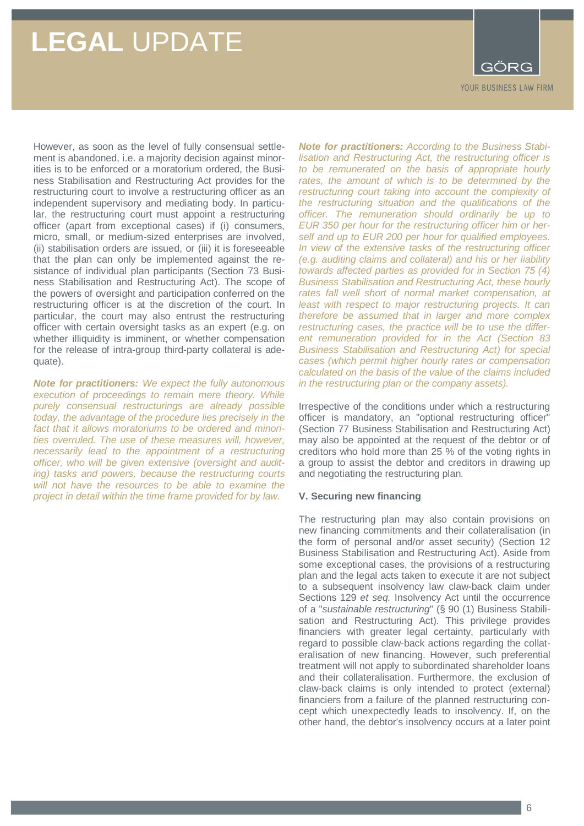

However, as soon as the level of fully consensual settlement is abandoned, i.e. a majority decision against minorities is to be enforced or a moratorium ordered, the Business Stabilisation and Restructuring Act provides for the restructuring court to involve a restructuring officer as an independent supervisory and mediating body. In particular, the restructuring court must appoint a restructuring officer (apart from exceptional cases) if (i) consumers, micro, small, or medium-sized enterprises are involved, (ii) stabilisation orders are issued, or (iii) it is foreseeable that the plan can only be implemented against the resistance of individual plan participants (Section 73 Business Stabilisation and Restructuring Act). The scope of the powers of oversight and participation conferred on the restructuring officer is at the discretion of the court. In particular, the court may also entrust the restructuring officer with certain oversight tasks as an expert (e.g. on whether illiquidity is imminent, or whether compensation for the release of intra-group third-party collateral is adequate).

*Note for practitioners: We expect the fully autonomous execution of proceedings to remain mere theory. While purely consensual restructurings are already possible today, the advantage of the procedure lies precisely in the fact that it allows moratoriums to be ordered and minorities overruled. The use of these measures will, however, necessarily lead to the appointment of a restructuring officer, who will be given extensive (oversight and auditing) tasks and powers, because the restructuring courts will not have the resources to be able to examine the project in detail within the time frame provided for by law.*

*Note for practitioners: According to the Business Stabilisation and Restructuring Act, the restructuring officer is to be remunerated on the basis of appropriate hourly*  rates, the amount of which is to be determined by the *restructuring court taking into account the complexity of the restructuring situation and the qualifications of the officer. The remuneration should ordinarily be up to EUR 350 per hour for the restructuring officer him or herself and up to EUR 200 per hour for qualified employees. In view of the extensive tasks of the restructuring officer (e.g. auditing claims and collateral) and his or her liability towards affected parties as provided for in Section 75 (4) Business Stabilisation and Restructuring Act, these hourly rates fall well short of normal market compensation, at least with respect to major restructuring projects. It can therefore be assumed that in larger and more complex restructuring cases, the practice will be to use the different remuneration provided for in the Act (Section 83 Business Stabilisation and Restructuring Act) for special cases (which permit higher hourly rates or compensation calculated on the basis of the value of the claims included in the restructuring plan or the company assets).*

Irrespective of the conditions under which a restructuring officer is mandatory, an "optional restructuring officer" (Section 77 Business Stabilisation and Restructuring Act) may also be appointed at the request of the debtor or of creditors who hold more than 25 % of the voting rights in a group to assist the debtor and creditors in drawing up and negotiating the restructuring plan.

#### **V. Securing new financing**

The restructuring plan may also contain provisions on new financing commitments and their collateralisation (in the form of personal and/or asset security) (Section 12 Business Stabilisation and Restructuring Act). Aside from some exceptional cases, the provisions of a restructuring plan and the legal acts taken to execute it are not subject to a subsequent insolvency law claw-back claim under Sections 129 *et seq.* Insolvency Act until the occurrence of a "*sustainable restructuring*" (§ 90 (1) Business Stabilisation and Restructuring Act). This privilege provides financiers with greater legal certainty, particularly with regard to possible claw-back actions regarding the collateralisation of new financing. However, such preferential treatment will not apply to subordinated shareholder loans and their collateralisation. Furthermore, the exclusion of claw-back claims is only intended to protect (external) financiers from a failure of the planned restructuring concept which unexpectedly leads to insolvency. If, on the other hand, the debtor's insolvency occurs at a later point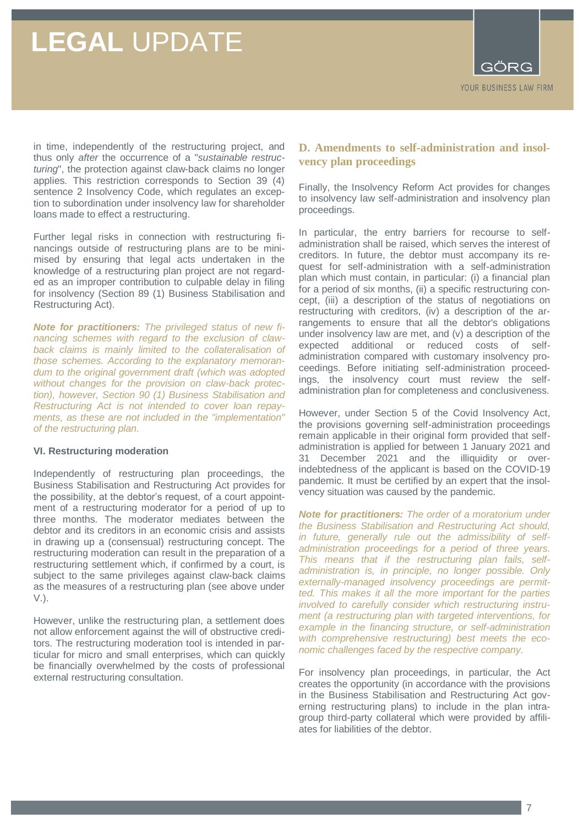

in time, independently of the restructuring project, and thus only *after* the occurrence of a "*sustainable restructuring*", the protection against claw-back claims no longer applies. This restriction corresponds to Section 39 (4) sentence 2 Insolvency Code, which regulates an exception to subordination under insolvency law for shareholder loans made to effect a restructuring.

Further legal risks in connection with restructuring financings outside of restructuring plans are to be minimised by ensuring that legal acts undertaken in the knowledge of a restructuring plan project are not regarded as an improper contribution to culpable delay in filing for insolvency (Section 89 (1) Business Stabilisation and Restructuring Act).

*Note for practitioners: The privileged status of new financing schemes with regard to the exclusion of clawback claims is mainly limited to the collateralisation of those schemes. According to the explanatory memorandum to the original government draft (which was adopted without changes for the provision on claw-back protection), however, Section 90 (1) Business Stabilisation and Restructuring Act is not intended to cover loan repayments, as these are not included in the "implementation" of the restructuring plan.*

#### **VI. Restructuring moderation**

Independently of restructuring plan proceedings, the Business Stabilisation and Restructuring Act provides for the possibility, at the debtor's request, of a court appointment of a restructuring moderator for a period of up to three months. The moderator mediates between the debtor and its creditors in an economic crisis and assists in drawing up a (consensual) restructuring concept. The restructuring moderation can result in the preparation of a restructuring settlement which, if confirmed by a court, is subject to the same privileges against claw-back claims as the measures of a restructuring plan (see above under V.).

However, unlike the restructuring plan, a settlement does not allow enforcement against the will of obstructive creditors. The restructuring moderation tool is intended in particular for micro and small enterprises, which can quickly be financially overwhelmed by the costs of professional external restructuring consultation.

### **D. Amendments to self-administration and insolvency plan proceedings**

Finally, the Insolvency Reform Act provides for changes to insolvency law self-administration and insolvency plan proceedings.

In particular, the entry barriers for recourse to selfadministration shall be raised, which serves the interest of creditors. In future, the debtor must accompany its request for self-administration with a self-administration plan which must contain, in particular: (i) a financial plan for a period of six months, (ii) a specific restructuring concept, (iii) a description of the status of negotiations on restructuring with creditors, (iv) a description of the arrangements to ensure that all the debtor's obligations under insolvency law are met, and (v) a description of the expected additional or reduced costs of selfadministration compared with customary insolvency proceedings. Before initiating self-administration proceedings, the insolvency court must review the selfadministration plan for completeness and conclusiveness.

However, under Section 5 of the Covid Insolvency Act, the provisions governing self-administration proceedings remain applicable in their original form provided that selfadministration is applied for between 1 January 2021 and 31 December 2021 and the illiquidity or overindebtedness of the applicant is based on the COVID-19 pandemic. It must be certified by an expert that the insolvency situation was caused by the pandemic.

*Note for practitioners: The order of a moratorium under the Business Stabilisation and Restructuring Act should, in future, generally rule out the admissibility of selfadministration proceedings for a period of three years. This means that if the restructuring plan fails, selfadministration is, in principle, no longer possible. Only externally-managed insolvency proceedings are permitted. This makes it all the more important for the parties involved to carefully consider which restructuring instrument (a restructuring plan with targeted interventions, for example in the financing structure, or self-administration with comprehensive restructuring) best meets the economic challenges faced by the respective company.*

For insolvency plan proceedings, in particular, the Act creates the opportunity (in accordance with the provisions in the Business Stabilisation and Restructuring Act governing restructuring plans) to include in the plan intragroup third-party collateral which were provided by affiliates for liabilities of the debtor.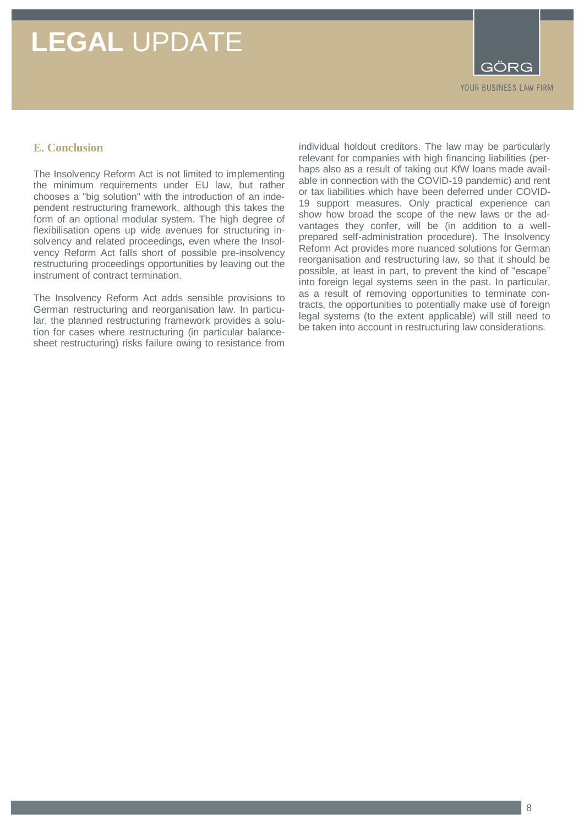GÖRG YOUR BUSINESS LAW FIRM

### **E. Conclusion**

The Insolvency Reform Act is not limited to implementing the minimum requirements under EU law, but rather chooses a "big solution" with the introduction of an independent restructuring framework, although this takes the form of an optional modular system. The high degree of flexibilisation opens up wide avenues for structuring insolvency and related proceedings, even where the Insolvency Reform Act falls short of possible pre-insolvency restructuring proceedings opportunities by leaving out the instrument of contract termination.

The Insolvency Reform Act adds sensible provisions to German restructuring and reorganisation law. In particular, the planned restructuring framework provides a solution for cases where restructuring (in particular balancesheet restructuring) risks failure owing to resistance from

individual holdout creditors. The law may be particularly relevant for companies with high financing liabilities (perhaps also as a result of taking out KfW loans made available in connection with the COVID-19 pandemic) and rent or tax liabilities which have been deferred under COVID-19 support measures. Only practical experience can show how broad the scope of the new laws or the advantages they confer, will be (in addition to a wellprepared self-administration procedure). The Insolvency Reform Act provides more nuanced solutions for German reorganisation and restructuring law, so that it should be possible, at least in part, to prevent the kind of "escape" into foreign legal systems seen in the past. In particular, as a result of removing opportunities to terminate contracts, the opportunities to potentially make use of foreign legal systems (to the extent applicable) will still need to be taken into account in restructuring law considerations.